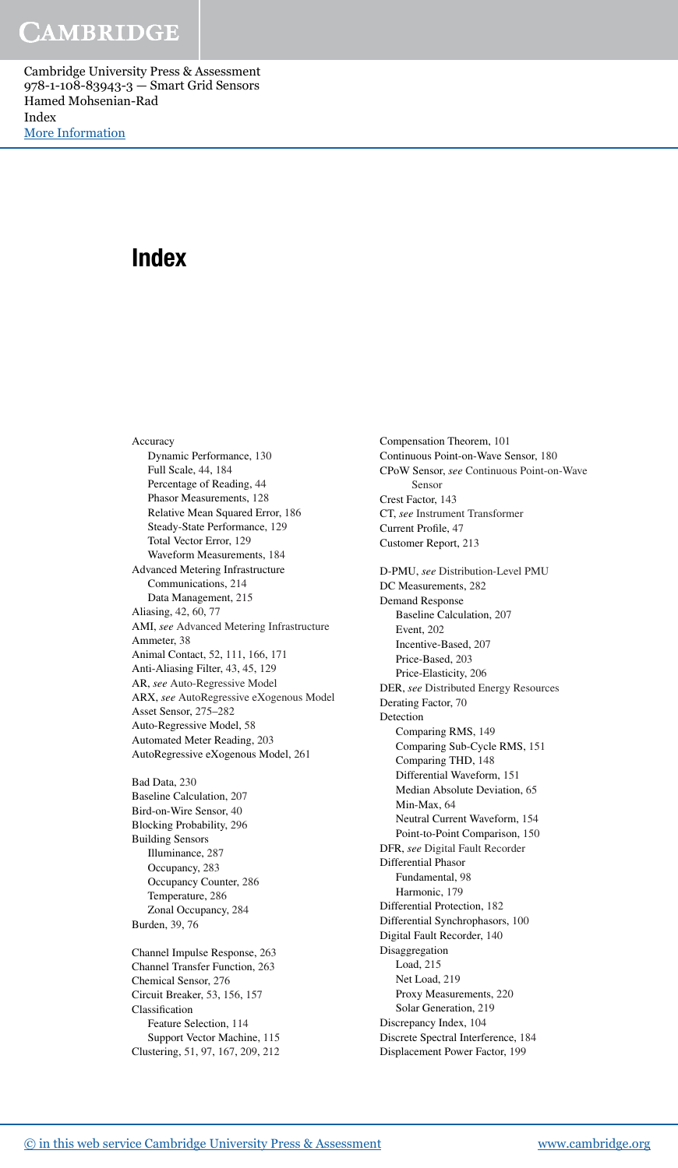## Index

Accuracy Dynamic Performance, 130 Full Scale, 44, 184 Percentage of Reading, 44 Phasor Measurements, 128 Relative Mean Squared Error, 186 Steady-State Performance, 129 Total Vector Error, 129 Waveform Measurements, 184 Advanced Metering Infrastructure Communications, 214 Data Management, 215 Aliasing, 42, 60, 77 AMI, *see* Advanced Metering Infrastructure Ammeter, 38 Animal Contact, 52, 111, 166, 171 Anti-Aliasing Filter, 43, 45, 129 AR, *see* Auto-Regressive Model ARX, *see* AutoRegressive eXogenous Model Asset Sensor, 275–282 Auto-Regressive Model, 58 Automated Meter Reading, 203 AutoRegressive eXogenous Model, 261

Bad Data, 230 Baseline Calculation, 207 Bird-on-Wire Sensor, 40 Blocking Probability, 296 Building Sensors Illuminance, 287 Occupancy, 283 Occupancy Counter, 286 Temperature, 286 Zonal Occupancy, 284 Burden, 39, 76

Channel Impulse Response, 263 Channel Transfer Function, 263 Chemical Sensor, 276 Circuit Breaker, 53, 156, 157 Classification Feature Selection, 114 Support Vector Machine, 115 Clustering, 51, 97, 167, 209, 212

Compensation Theorem, 101 Continuous Point-on-Wave Sensor, 180 CPoW Sensor, *see* Continuous Point-on-Wave Sensor Crest Factor, 143 CT, *see* Instrument Transformer Current Profile, 47 Customer Report, 213 D-PMU, *see* Distribution-Level PMU DC Measurements, 282 Demand Response Baseline Calculation, 207 Event, 202 Incentive-Based, 207 Price-Based, 203 Price-Elasticity, 206 DER, *see* Distributed Energy Resources Derating Factor, 70 Detection Comparing RMS, 149 Comparing Sub-Cycle RMS, 151 Comparing THD, 148 Differential Waveform, 151 Median Absolute Deviation, 65 Min-Max, 64 Neutral Current Waveform, 154 Point-to-Point Comparison, 150 DFR, *see* Digital Fault Recorder Differential Phasor Fundamental, 98 Harmonic, 179 Differential Protection, 182 Differential Synchrophasors, 100 Digital Fault Recorder, 140 Disaggregation Load, 215 Net Load, 219 Proxy Measurements, 220 Solar Generation, 219 Discrepancy Index, 104 Discrete Spectral Interference, 184 Displacement Power Factor, 199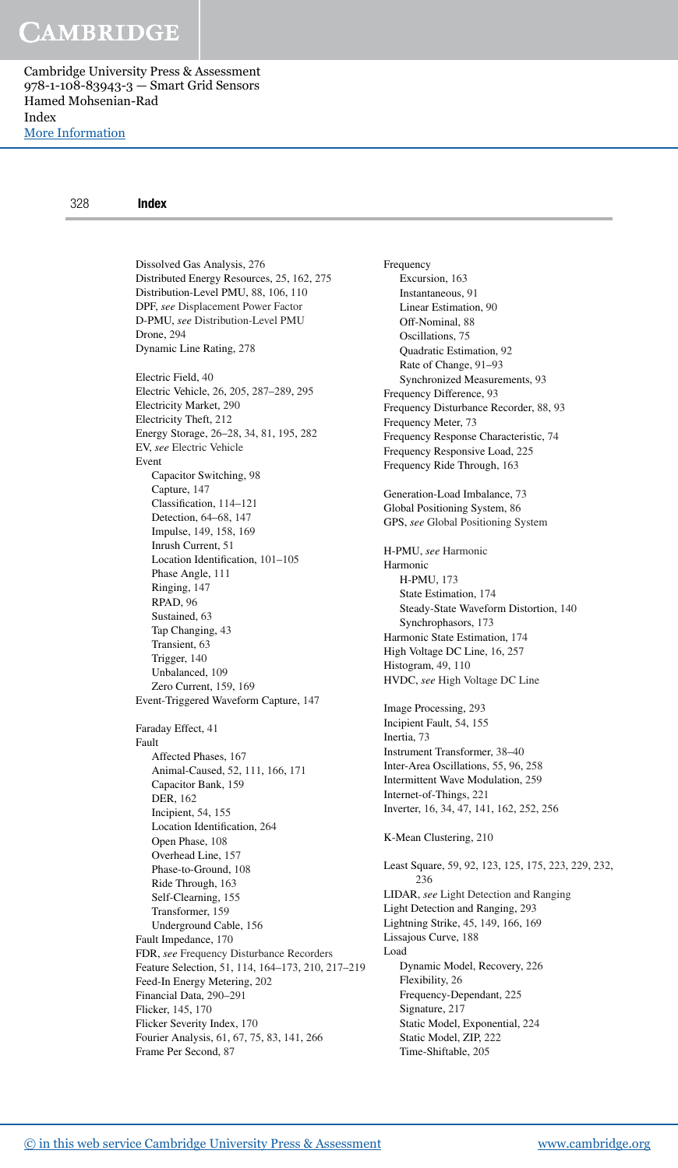[More Information](www.cambridge.org/9781108839433)

| 328 | Index                                             |                                                     |
|-----|---------------------------------------------------|-----------------------------------------------------|
|     |                                                   |                                                     |
|     | Dissolved Gas Analysis, 276                       | Frequency                                           |
|     | Distributed Energy Resources, 25, 162, 275        | Excursion, 163                                      |
|     | Distribution-Level PMU, 88, 106, 110              | Instantaneous, 91                                   |
|     | DPF, see Displacement Power Factor                | Linear Estimation, 90                               |
|     | D-PMU, see Distribution-Level PMU                 | Off-Nominal, 88                                     |
|     | Drone, 294                                        | Oscillations, 75                                    |
|     | Dynamic Line Rating, 278                          | Quadratic Estimation, 92                            |
|     |                                                   | Rate of Change, 91–93                               |
|     | Electric Field, 40                                | Synchronized Measurements, 93                       |
|     | Electric Vehicle, 26, 205, 287–289, 295           | Frequency Difference, 93                            |
|     | Electricity Market, 290                           | Frequency Disturbance Recorder, 88, 93              |
|     | Electricity Theft, 212                            | Frequency Meter, 73                                 |
|     | Energy Storage, 26-28, 34, 81, 195, 282           | Frequency Response Characteristic, 74               |
|     | EV, see Electric Vehicle                          | Frequency Responsive Load, 225                      |
|     | Event                                             | Frequency Ride Through, 163                         |
|     | Capacitor Switching, 98                           |                                                     |
|     | Capture, 147                                      | Generation-Load Imbalance, 73                       |
|     | Classification, 114–121                           | Global Positioning System, 86                       |
|     | Detection, 64–68, 147                             | GPS, see Global Positioning System                  |
|     | Impulse, 149, 158, 169                            |                                                     |
|     | Inrush Current, 51                                | H-PMU, see Harmonic                                 |
|     | Location Identification, 101-105                  | Harmonic                                            |
|     | Phase Angle, 111                                  | H-PMU, 173                                          |
|     | Ringing, 147                                      | State Estimation, 174                               |
|     | RPAD, 96                                          | Steady-State Waveform Distortion, 140               |
|     | Sustained, 63                                     | Synchrophasors, 173                                 |
|     | Tap Changing, 43                                  | Harmonic State Estimation, 174                      |
|     | Transient, 63                                     | High Voltage DC Line, 16, 257                       |
|     | Trigger, 140                                      | Histogram, 49, 110                                  |
|     | Unbalanced, 109                                   | HVDC, see High Voltage DC Line                      |
|     | Zero Current, 159, 169                            |                                                     |
|     | Event-Triggered Waveform Capture, 147             | Image Processing, 293                               |
|     |                                                   | Incipient Fault, 54, 155                            |
|     | Faraday Effect, 41                                | Inertia, 73                                         |
|     | Fault                                             | Instrument Transformer, 38-40                       |
|     | Affected Phases, 167                              | Inter-Area Oscillations, 55, 96, 258                |
|     | Animal-Caused, 52, 111, 166, 171                  | Intermittent Wave Modulation, 259                   |
|     | Capacitor Bank, 159                               | Internet-of-Things, 221                             |
|     | DER, 162<br>Incipient, 54, 155                    | Inverter, 16, 34, 47, 141, 162, 252, 256            |
|     | Location Identification, 264                      |                                                     |
|     | Open Phase, 108                                   | K-Mean Clustering, 210                              |
|     | Overhead Line, 157                                |                                                     |
|     | Phase-to-Ground, 108                              | Least Square, 59, 92, 123, 125, 175, 223, 229, 232, |
|     | Ride Through, 163                                 | 236                                                 |
|     | Self-Clearning, 155                               | LIDAR, see Light Detection and Ranging              |
|     | Transformer, 159                                  | Light Detection and Ranging, 293                    |
|     | Underground Cable, 156                            | Lightning Strike, 45, 149, 166, 169                 |
|     | Fault Impedance, 170                              | Lissajous Curve, 188                                |
|     | FDR, see Frequency Disturbance Recorders          | Load                                                |
|     | Feature Selection, 51, 114, 164-173, 210, 217-219 | Dynamic Model, Recovery, 226                        |
|     | Feed-In Energy Metering, 202                      | Flexibility, 26                                     |
|     | Financial Data, 290-291                           | Frequency-Dependant, 225                            |
|     | Flicker, 145, 170                                 | Signature, 217                                      |
|     | Flicker Severity Index, 170                       | Static Model, Exponential, 224                      |
|     | Fourier Analysis, 61, 67, 75, 83, 141, 266        | Static Model, ZIP, 222                              |
|     |                                                   |                                                     |

Frame Per Second, 87

Time-Shiftable, 205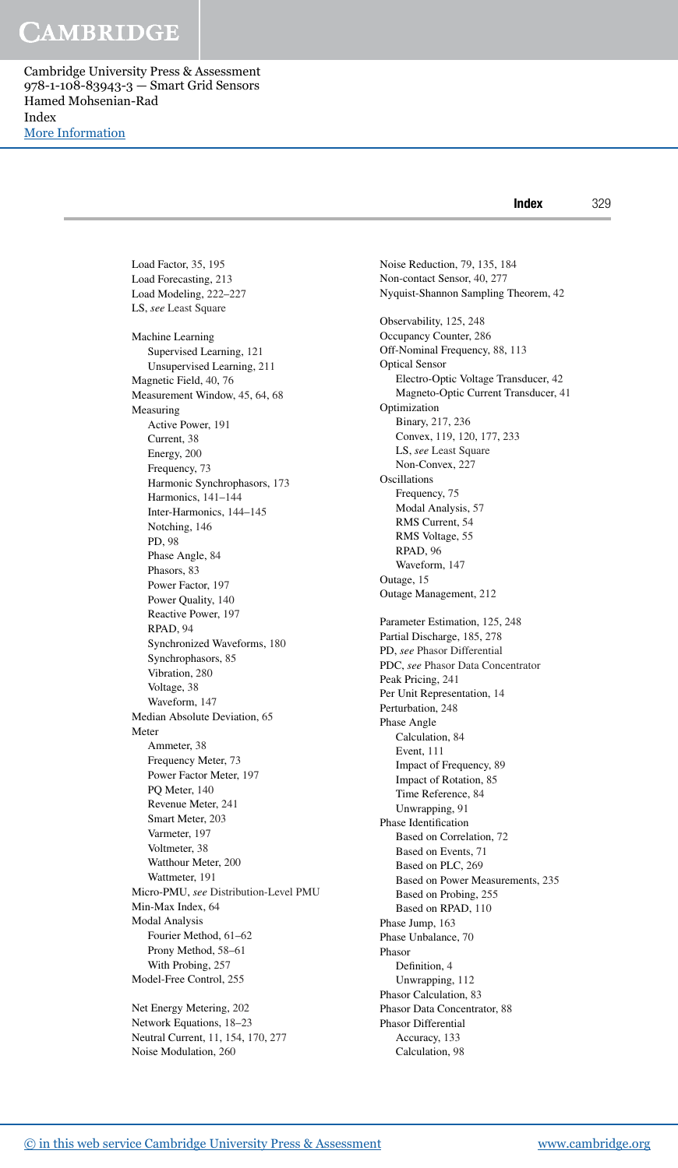[More Information](www.cambridge.org/9781108839433)

Index 329

Load Factor, 35, 195 Load Forecasting, 213 Load Modeling, 222–227 LS, *see* Least Square Machine Learning Supervised Learning, 121 Unsupervised Learning, 211 Magnetic Field, 40, 76 Measurement Window, 45, 64, 68 Measuring Active Power, 191 Current, 38 Energy, 200 Frequency, 73 Harmonic Synchrophasors, 173 Harmonics, 141–144 Inter-Harmonics, 144–145 Notching, 146 PD, 98 Phase Angle, 84 Phasors, 83 Power Factor, 197 Power Quality, 140 Reactive Power, 197 RPAD, 94 Synchronized Waveforms, 180 Synchrophasors, 85 Vibration, 280 Voltage, 38 Waveform, 147 Median Absolute Deviation, 65 Meter Ammeter, 38 Frequency Meter, 73 Power Factor Meter, 197 PQ Meter, 140 Revenue Meter, 241 Smart Meter, 203 Varmeter, 197 Voltmeter, 38 Watthour Meter, 200 Wattmeter, 191 Micro-PMU, *see* Distribution-Level PMU Min-Max Index, 64 Modal Analysis Fourier Method, 61–62 Prony Method, 58–61 With Probing, 257 Model-Free Control, 255

Net Energy Metering, 202 Network Equations, 18–23 Neutral Current, 11, 154, 170, 277 Noise Modulation, 260

Noise Reduction, 79, 135, 184 Non-contact Sensor, 40, 277 Nyquist-Shannon Sampling Theorem, 42 Observability, 125, 248 Occupancy Counter, 286 Off-Nominal Frequency, 88, 113 Optical Sensor Electro-Optic Voltage Transducer, 42 Magneto-Optic Current Transducer, 41 Optimization Binary, 217, 236 Convex, 119, 120, 177, 233 LS, *see* Least Square Non-Convex, 227 Oscillations Frequency, 75 Modal Analysis, 57 RMS Current, 54 RMS Voltage, 55 RPAD, 96 Waveform, 147 Outage, 15 Outage Management, 212 Parameter Estimation, 125, 248 Partial Discharge, 185, 278 PD, *see* Phasor Differential PDC, *see* Phasor Data Concentrator Peak Pricing, 241 Per Unit Representation, 14 Perturbation, 248 Phase Angle Calculation, 84 Event, 111 Impact of Frequency, 89 Impact of Rotation, 85 Time Reference, 84 Unwrapping, 91 Phase Identification Based on Correlation, 72 Based on Events, 71 Based on PLC, 269 Based on Power Measurements, 235 Based on Probing, 255 Based on RPAD, 110 Phase Jump, 163 Phase Unbalance, 70 Phasor Definition, 4 Unwrapping, 112 Phasor Calculation, 83 Phasor Data Concentrator, 88 Phasor Differential Accuracy, 133 Calculation, 98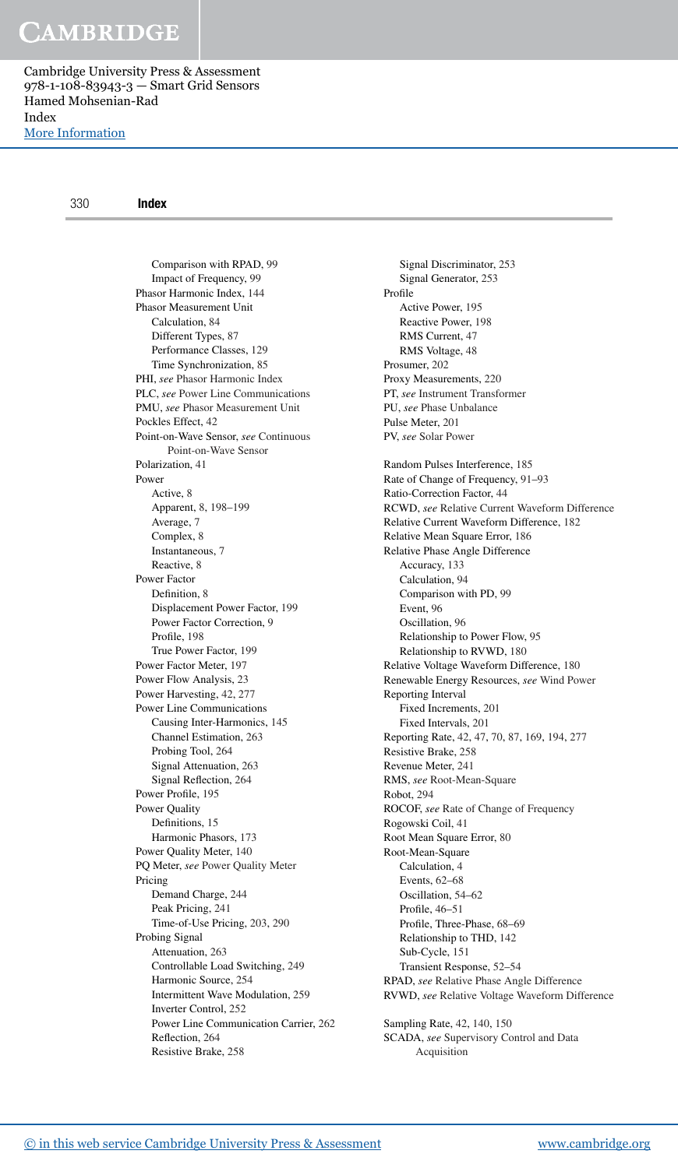[More Information](www.cambridge.org/9781108839433)

Comparison with RPAD, 99 Impact of Frequency, 99 Phasor Harmonic Index, 144 Phasor Measurement Unit Calculation, 84 Different Types, 87 Performance Classes, 129 Time Synchronization, 85 PHI, *see* Phasor Harmonic Index PLC, *see* Power Line Communications PMU, *see* Phasor Measurement Unit Pockles Effect, 42 Point-on-Wave Sensor, *see* Continuous Point-on-Wave Sensor Polarization, 41 Power Active, 8 Apparent, 8, 198–199 Average, 7 Complex, 8 Instantaneous, 7 Reactive, 8 Power Factor Definition, 8 Displacement Power Factor, 199 Power Factor Correction, 9 Profile, 198 True Power Factor, 199 Power Factor Meter, 197 Power Flow Analysis, 23 Power Harvesting, 42, 277 Power Line Communications Causing Inter-Harmonics, 145 Channel Estimation, 263 Probing Tool, 264 Signal Attenuation, 263 Signal Reflection, 264 Power Profile, 195 Power Quality Definitions, 15 Harmonic Phasors, 173 Power Quality Meter, 140 PQ Meter, *see* Power Quality Meter Pricing Demand Charge, 244 Peak Pricing, 241 Time-of-Use Pricing, 203, 290 Probing Signal Attenuation, 263 Controllable Load Switching, 249 Harmonic Source, 254 Intermittent Wave Modulation, 259 Inverter Control, 252 Power Line Communication Carrier, 262 Reflection, 264 Resistive Brake, 258

Signal Discriminator, 253 Signal Generator, 253 Profile Active Power, 195 Reactive Power, 198 RMS Current, 47 RMS Voltage, 48 Prosumer, 202 Proxy Measurements, 220 PT, *see* Instrument Transformer PU, *see* Phase Unbalance Pulse Meter, 201 PV, *see* Solar Power Random Pulses Interference, 185 Rate of Change of Frequency, 91–93 Ratio-Correction Factor, 44 RCWD, *see* Relative Current Waveform Difference Relative Current Waveform Difference, 182 Relative Mean Square Error, 186 Relative Phase Angle Difference Accuracy, 133 Calculation, 94 Comparison with PD, 99 Event, 96 Oscillation, 96 Relationship to Power Flow, 95 Relationship to RVWD, 180 Relative Voltage Waveform Difference, 180 Renewable Energy Resources, *see* Wind Power Reporting Interval Fixed Increments, 201 Fixed Intervals, 201 Reporting Rate, 42, 47, 70, 87, 169, 194, 277 Resistive Brake, 258 Revenue Meter, 241 RMS, *see* Root-Mean-Square Robot, 294 ROCOF, *see* Rate of Change of Frequency Rogowski Coil, 41 Root Mean Square Error, 80 Root-Mean-Square Calculation, 4 Events, 62–68 Oscillation, 54–62 Profile, 46–51 Profile, Three-Phase, 68–69 Relationship to THD, 142 Sub-Cycle, 151 Transient Response, 52–54 RPAD, *see* Relative Phase Angle Difference RVWD, *see* Relative Voltage Waveform Difference Sampling Rate, 42, 140, 150

SCADA, *see* Supervisory Control and Data

Acquisition

[© in this web service Cambridge University Press & Assessment](www.cambridge.org) www.cambridge.org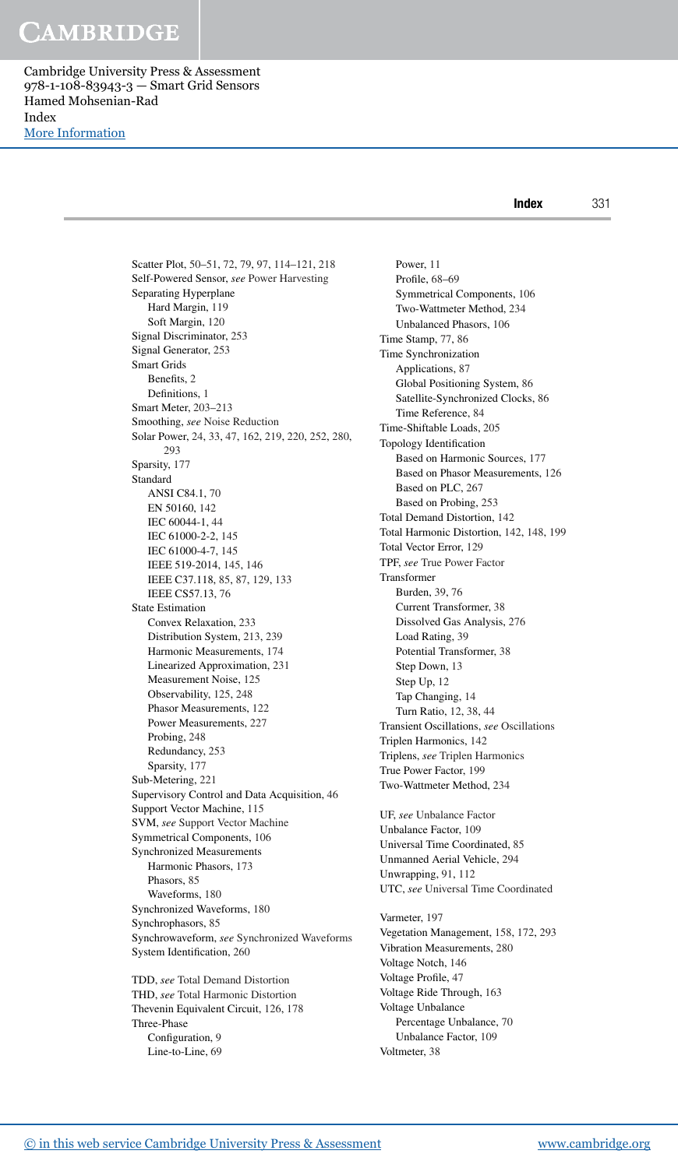[More Information](www.cambridge.org/9781108839433)

Scatter Plot, 50–51, 72, 79, 97, 114–121, 218 Self-Powered Sensor, *see* Power Harvesting Separating Hyperplane Hard Margin, 119 Soft Margin, 120 Signal Discriminator, 253 Signal Generator, 253 Smart Grids Benefits, 2 Definitions, 1 Smart Meter, 203–213 Smoothing, *see* Noise Reduction Solar Power, 24, 33, 47, 162, 219, 220, 252, 280, 293 Sparsity, 177 Standard ANSI C84.1, 70 EN 50160, 142 IEC 60044-1, 44 IEC 61000-2-2, 145 IEC 61000-4-7, 145 IEEE 519-2014, 145, 146 IEEE C37.118, 85, 87, 129, 133 IEEE CS57.13, 76 State Estimation Convex Relaxation, 233 Distribution System, 213, 239 Harmonic Measurements, 174 Linearized Approximation, 231 Measurement Noise, 125 Observability, 125, 248 Phasor Measurements, 122 Power Measurements, 227 Probing, 248 Redundancy, 253 Sparsity, 177 Sub-Metering, 221 Supervisory Control and Data Acquisition, 46 Support Vector Machine, 115 SVM, *see* Support Vector Machine Symmetrical Components, 106 Synchronized Measurements Harmonic Phasors, 173 Phasors, 85 Waveforms, 180 Synchronized Waveforms, 180 Synchrophasors, 85 Synchrowaveform, *see* Synchronized Waveforms System Identification, 260

TDD, *see* Total Demand Distortion THD, *see* Total Harmonic Distortion Thevenin Equivalent Circuit, 126, 178 Three-Phase Configuration, 9 Line-to-Line, 69

Power, 11 Profile, 68–69 Symmetrical Components, 106 Two-Wattmeter Method, 234 Unbalanced Phasors, 106 Time Stamp, 77, 86 Time Synchronization Applications, 87 Global Positioning System, 86 Satellite-Synchronized Clocks, 86 Time Reference, 84 Time-Shiftable Loads, 205 Topology Identification Based on Harmonic Sources, 177 Based on Phasor Measurements, 126 Based on PLC, 267 Based on Probing, 253 Total Demand Distortion, 142 Total Harmonic Distortion, 142, 148, 199 Total Vector Error, 129 TPF, *see* True Power Factor Transformer Burden, 39, 76 Current Transformer, 38 Dissolved Gas Analysis, 276 Load Rating, 39 Potential Transformer, 38 Step Down, 13 Step Up, 12 Tap Changing, 14 Turn Ratio, 12, 38, 44 Transient Oscillations, *see* Oscillations Triplen Harmonics, 142 Triplens, *see* Triplen Harmonics True Power Factor, 199 Two-Wattmeter Method, 234

UF, *see* Unbalance Factor Unbalance Factor, 109 Universal Time Coordinated, 85 Unmanned Aerial Vehicle, 294 Unwrapping, 91, 112 UTC, *see* Universal Time Coordinated

Varmeter, 197 Vegetation Management, 158, 172, 293 Vibration Measurements, 280 Voltage Notch, 146 Voltage Profile, 47 Voltage Ride Through, 163 Voltage Unbalance Percentage Unbalance, 70 Unbalance Factor, 109 Voltmeter, 38